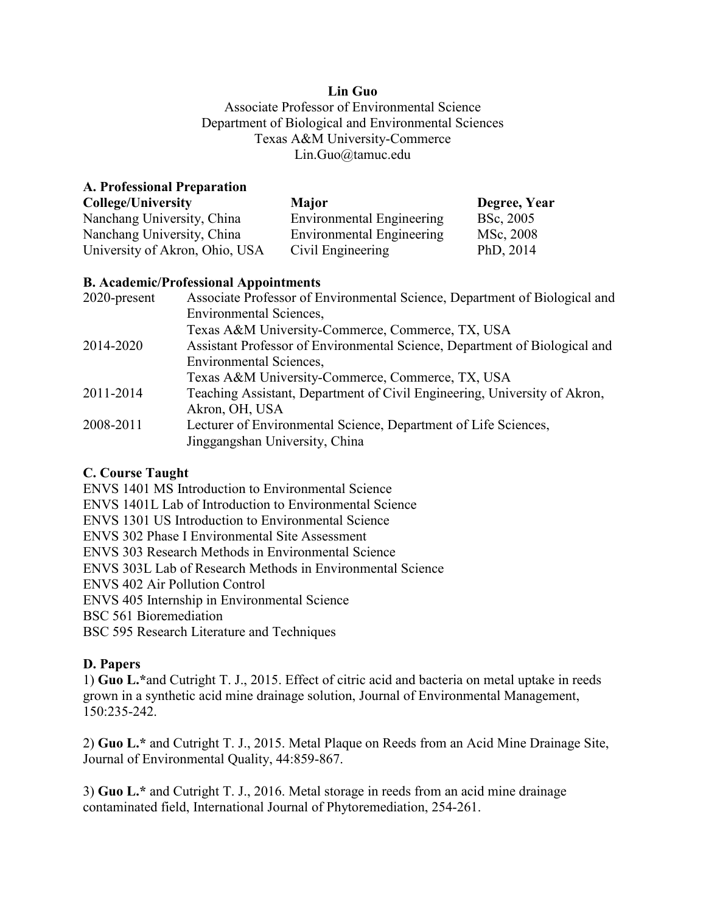## **Lin Guo**

Associate Professor of Environmental Science Department of Biological and Environmental Sciences Texas A&M University-Commerce Lin.Guo@tamuc.edu

## **A. Professional Preparation**

| College/University             | <b>Major</b>              | Degree, Year |
|--------------------------------|---------------------------|--------------|
| Nanchang University, China     | Environmental Engineering | BSc, 2005    |
| Nanchang University, China     | Environmental Engineering | MSc, 2008    |
| University of Akron, Ohio, USA | Civil Engineering         | PhD, 2014    |

# **B. Academic/Professional Appointments**

| 2020-present | Associate Professor of Environmental Science, Department of Biological and |
|--------------|----------------------------------------------------------------------------|
|              | Environmental Sciences,                                                    |
|              | Texas A&M University-Commerce, Commerce, TX, USA                           |
| 2014-2020    | Assistant Professor of Environmental Science, Department of Biological and |
|              | <b>Environmental Sciences,</b>                                             |
|              | Texas A&M University-Commerce, Commerce, TX, USA                           |
| 2011-2014    | Teaching Assistant, Department of Civil Engineering, University of Akron,  |
|              | Akron, OH, USA                                                             |
| 2008-2011    | Lecturer of Environmental Science, Department of Life Sciences,            |
|              | Jinggangshan University, China                                             |

# **C. Course Taught**

ENVS 1401 MS Introduction to Environmental Science ENVS 1401L Lab of Introduction to Environmental Science ENVS 1301 US Introduction to Environmental Science ENVS 302 Phase I Environmental Site Assessment ENVS 303 Research Methods in Environmental Science ENVS 303L Lab of Research Methods in Environmental Science ENVS 402 Air Pollution Control ENVS 405 Internship in Environmental Science BSC 561 Bioremediation BSC 595 Research Literature and Techniques

# **D. Papers**

1) **Guo L.\***and Cutright T. J., 2015. Effect of citric acid and bacteria on metal uptake in reeds grown in a synthetic acid mine drainage solution, Journal of Environmental Management, 150:235-242.

2) **Guo L.\*** and Cutright T. J., 2015. Metal Plaque on Reeds from an Acid Mine Drainage Site, Journal of Environmental Quality, 44:859-867.

3) **Guo L.\*** and Cutright T. J., 2016. Metal storage in reeds from an acid mine drainage contaminated field, International Journal of Phytoremediation, 254-261.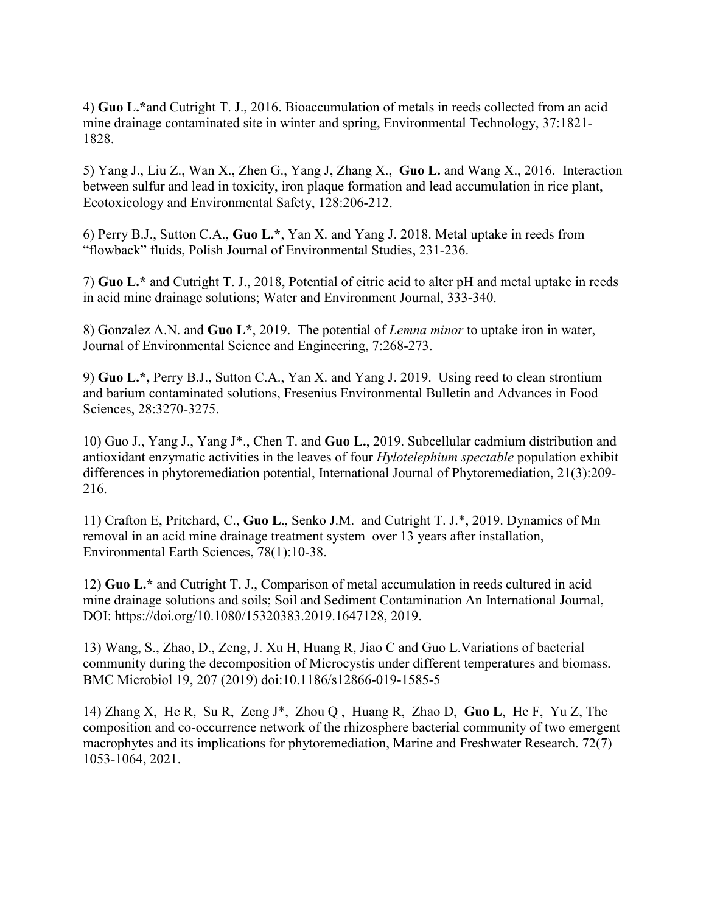4) **Guo L.\***and Cutright T. J., 2016. Bioaccumulation of metals in reeds collected from an acid mine drainage contaminated site in winter and spring, Environmental Technology, 37:1821- 1828.

5) Yang J., Liu Z., Wan X., Zhen G., Yang J, Zhang X., **Guo L.** and Wang X., 2016. Interaction between sulfur and lead in toxicity, iron plaque formation and lead accumulation in rice plant, Ecotoxicology and Environmental Safety, 128:206-212.

6) Perry B.J., Sutton C.A., **Guo L.\***, Yan X. and Yang J. 2018. Metal uptake in reeds from "flowback" fluids, Polish Journal of Environmental Studies, 231-236.

7) **Guo L.\*** and Cutright T. J., 2018, Potential of citric acid to alter pH and metal uptake in reeds in acid mine drainage solutions; Water and Environment Journal, 333-340.

8) Gonzalez A.N. and **Guo L\***, 2019. The potential of *Lemna minor* to uptake iron in water, Journal of Environmental Science and Engineering, 7:268-273.

9) **Guo L.\*,** Perry B.J., Sutton C.A., Yan X. and Yang J. 2019. Using reed to clean strontium and barium contaminated solutions, Fresenius Environmental Bulletin and Advances in Food Sciences, 28:3270-3275.

10) Guo J., Yang J., Yang J\*., Chen T. and **Guo L.**, 2019. Subcellular cadmium distribution and antioxidant enzymatic activities in the leaves of four *Hylotelephium spectable* population exhibit differences in phytoremediation potential, International Journal of Phytoremediation, 21(3):209- 216.

11) Crafton E, Pritchard, C., **Guo L**., Senko J.M. and Cutright T. J.\*, 2019. Dynamics of Mn removal in an acid mine drainage treatment system over 13 years after installation, Environmental Earth Sciences, 78(1):10-38.

12) **Guo L.\*** and Cutright T. J., Comparison of metal accumulation in reeds cultured in acid mine drainage solutions and soils; Soil and Sediment Contamination An International Journal, DOI: https://doi.org/10.1080/15320383.2019.1647128, 2019.

13) Wang, S., Zhao, D., Zeng, J. Xu H, Huang R, Jiao C and Guo L.Variations of bacterial community during the decomposition of Microcystis under different temperatures and biomass. BMC Microbiol 19, 207 (2019) doi:10.1186/s12866-019-1585-5

14) Zhang X, He R, Su R, Zeng J\*, Zhou Q , Huang R, Zhao D, **Guo L**, He F, Yu Z, The composition and co-occurrence network of the rhizosphere bacterial community of two emergent macrophytes and its implications for phytoremediation, Marine and Freshwater Research. 72(7) 1053-1064, 2021.